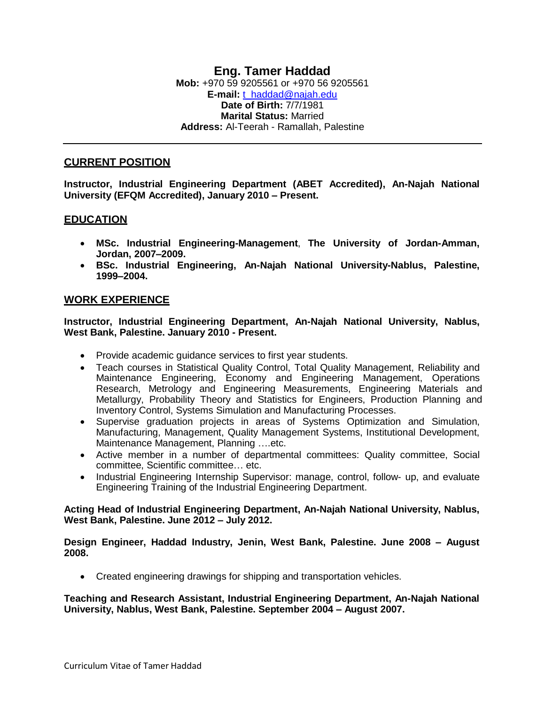### **CURRENT POSITION**

**Instructor, Industrial Engineering Department (ABET Accredited), An-Najah National University (EFQM Accredited), January 2010 – Present.**

# **EDUCATION**

- **MSc. Industrial Engineering-Management**, **The University of Jordan-Amman, Jordan, 2007–2009.**
- **BSc. Industrial Engineering, An-Najah National University-Nablus, Palestine, 1999–2004.**

## **WORK EXPERIENCE**

**Instructor, Industrial Engineering Department, An-Najah National University, Nablus, West Bank, Palestine. January 2010 - Present.**

- Provide academic guidance services to first year students.
- Teach courses in Statistical Quality Control, Total Quality Management, Reliability and Maintenance Engineering, Economy and Engineering Management, Operations Research, Metrology and Engineering Measurements, Engineering Materials and Metallurgy, Probability Theory and Statistics for Engineers, Production Planning and Inventory Control, Systems Simulation and Manufacturing Processes.
- Supervise graduation projects in areas of Systems Optimization and Simulation, Manufacturing, Management, Quality Management Systems, Institutional Development, Maintenance Management, Planning ….etc.
- Active member in a number of departmental committees: Quality committee, Social committee, Scientific committee… etc.
- Industrial Engineering Internship Supervisor: manage, control, follow- up, and evaluate Engineering Training of the Industrial Engineering Department.

**Acting Head of Industrial Engineering Department, An-Najah National University, Nablus, West Bank, Palestine. June 2012 – July 2012.**

**Design Engineer, Haddad Industry, Jenin, West Bank, Palestine. June 2008 – August 2008.**

• Created engineering drawings for shipping and transportation vehicles.

**Teaching and Research Assistant, Industrial Engineering Department, An-Najah National University, Nablus, West Bank, Palestine. September 2004 – August 2007.**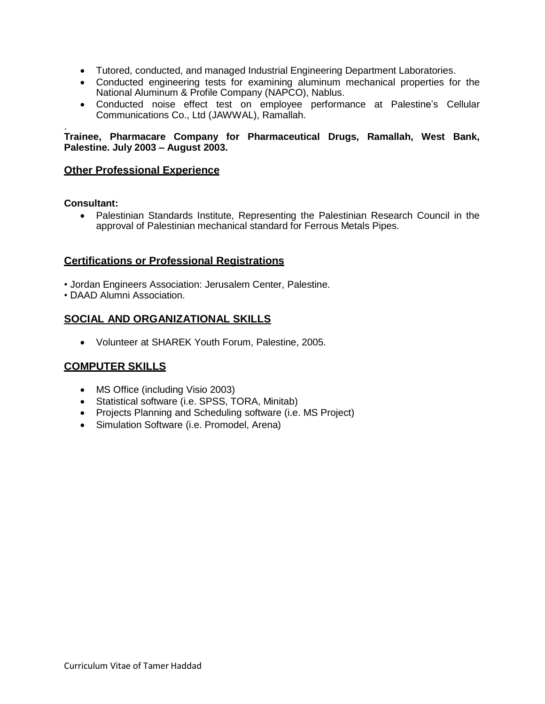- Tutored, conducted, and managed Industrial Engineering Department Laboratories.
- Conducted engineering tests for examining aluminum mechanical properties for the [National Aluminum](http://www.napco.ps/) & Profile Company (NAPCO), Nablus.
- Conducted noise effect test on employee performance at Palestine's Cellular Communications Co., Ltd (JAWWAL), Ramallah.

. **Trainee, Pharmacare Company for Pharmaceutical Drugs, Ramallah, West Bank, Palestine. July 2003 – August 2003.**

### **Other Professional Experience**

**Consultant:**

 Palestinian Standards Institute, Representing the Palestinian Research Council in the approval of Palestinian mechanical standard for Ferrous Metals Pipes.

## **Certifications or Professional Registrations**

- Jordan Engineers Association: Jerusalem Center, Palestine.
- DAAD Alumni Association.

# **SOCIAL AND ORGANIZATIONAL SKILLS**

Volunteer at SHAREK Youth Forum, Palestine, 2005.

## **COMPUTER SKILLS**

- MS Office (including Visio 2003)
- Statistical software (i.e. SPSS, TORA, Minitab)
- Projects Planning and Scheduling software (i.e. MS Project)
- Simulation Software (i.e. Promodel, Arena)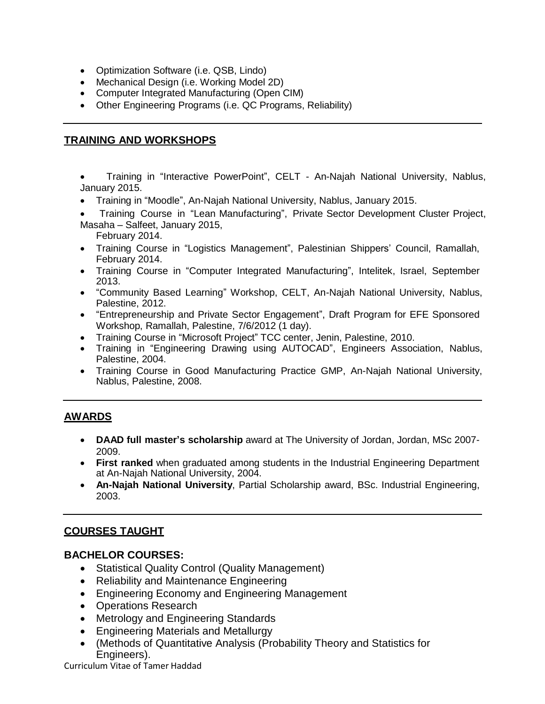- Optimization Software (i.e. QSB, Lindo)
- Mechanical Design (i.e. Working Model 2D)
- Computer Integrated Manufacturing (Open CIM)
- Other Engineering Programs (i.e. QC Programs, Reliability)

# **TRAINING AND WORKSHOPS**

- Training in "Interactive PowerPoint", CELT An-Najah National University, Nablus, January 2015.
- Training in "Moodle", An-Najah National University, Nablus, January 2015.
- Training Course in "Lean Manufacturing", Private Sector Development Cluster Project, Masaha – Salfeet, January 2015, February 2014.
- Training Course in "Logistics Management", Palestinian Shippers' Council, Ramallah, February 2014.
- Training Course in "Computer Integrated Manufacturing", Intelitek, Israel, September 2013.
- "Community Based Learning" Workshop, CELT, An-Najah National University, Nablus, Palestine, 2012.
- "Entrepreneurship and Private Sector Engagement", Draft Program for EFE Sponsored Workshop, Ramallah, Palestine, 7/6/2012 (1 day).
- Training Course in "Microsoft Project" TCC center, Jenin, Palestine, 2010.
- Training in "Engineering Drawing using AUTOCAD", Engineers Association, Nablus, Palestine, 2004.
- Training Course in Good Manufacturing Practice GMP, An-Najah National University, Nablus, Palestine, 2008.

# **AWARDS**

- **DAAD full master's scholarship** award at The University of Jordan, Jordan, MSc 2007- 2009.
- **First ranked** when graduated among students in the Industrial Engineering Department at An-Najah National University, 2004.
- **An-Najah National University**, Partial Scholarship award, BSc. Industrial Engineering, 2003.

# **COURSES TAUGHT**

## **BACHELOR COURSES:**

- Statistical Quality Control (Quality Management)
- Reliability and Maintenance Engineering
- Engineering Economy and Engineering Management
- Operations Research
- Metrology and Engineering Standards
- Engineering Materials and Metallurgy
- (Methods of Quantitative Analysis (Probability Theory and Statistics for Engineers).

#### Curriculum Vitae of Tamer Haddad